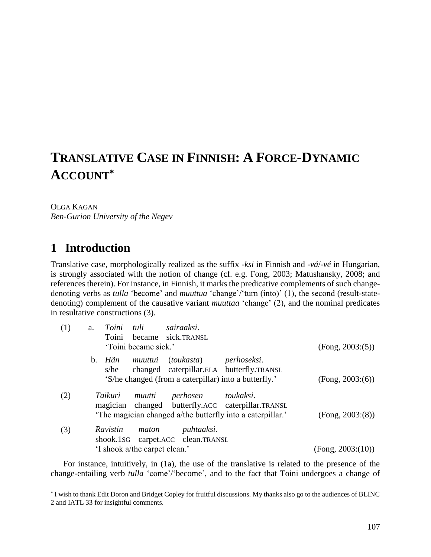# **TRANSLATIVE CASE IN FINNISH: A FORCE-DYNAMIC ACCOUNT**

#### OLGA KAGAN

 $\overline{\phantom{a}}$ 

*Ben-Gurion University of the Negev*

### **1** Introduction

Translative case, morphologically realized as the suffix -*ksi* in Finnish and -*vá*/-*vé* in Hungarian, is strongly associated with the notion of change (cf. e.g. Fong, 2003; Matushansky, 2008; and references therein). For instance, in Finnish, it marks the predicative complements of such changedenoting verbs as *tulla* 'become' and *muuttua* 'change'/'turn (into)' (1), the second (result-statedenoting) complement of the causative variant *muuttaa* 'change' (2), and the nominal predicates in resultative constructions (3).

| (1) | a.                                | Toini tuli    |                               | sairaaksi.                                            |                                                            |                   |
|-----|-----------------------------------|---------------|-------------------------------|-------------------------------------------------------|------------------------------------------------------------|-------------------|
|     |                                   | Toini         |                               | became sick.TRANSL                                    |                                                            |                   |
|     |                                   |               | 'Toini became sick.'          |                                                       |                                                            | (Fong, 2003:(5))  |
|     |                                   | b. <i>Hän</i> |                               | muuttui (toukasta) perhoseksi.                        |                                                            |                   |
|     |                                   | s/he          |                               |                                                       | changed caterpillar.ELA butterfly.TRANSL                   |                   |
|     |                                   |               |                               | 'S/he changed (from a caterpillar) into a butterfly.' |                                                            | (Fong, 2003:(6))  |
| (2) |                                   | Taikuri       | muutti                        | perhosen toukaksi.                                    |                                                            |                   |
|     |                                   |               |                               |                                                       | magician changed butterfly.ACC caterpillar.TRANSL          |                   |
|     |                                   |               |                               |                                                       | 'The magician changed a/the butterfly into a caterpillar.' | (Fong, 2003:(8))  |
| (3) |                                   | Ravistin      | maton                         | puhtaaksi.                                            |                                                            |                   |
|     | shook.1sG carpet.ACC clean.TRANSL |               |                               |                                                       |                                                            |                   |
|     |                                   |               | 'I shook a/the carpet clean.' |                                                       |                                                            | (Fong, 2003:(10)) |

For instance, intuitively, in (1a), the use of the translative is related to the presence of the change-entailing verb *tulla* 'come'/'become', and to the fact that Toini undergoes a change of

I wish to thank Edit Doron and Bridget Copley for fruitful discussions. My thanks also go to the audiences of BLINC 2 and IATL 33 for insightful comments.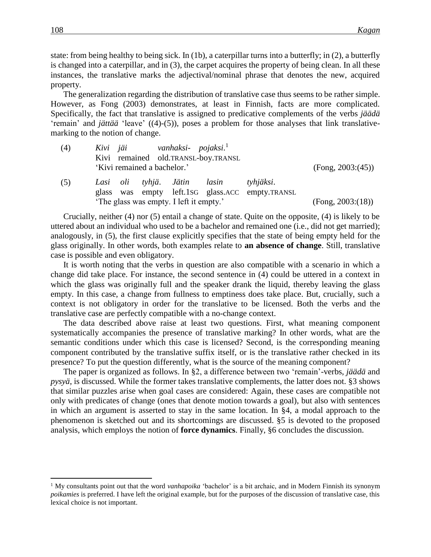state: from being healthy to being sick. In (1b), a caterpillar turns into a butterfly; in (2), a butterfly is changed into a caterpillar, and in (3), the carpet acquires the property of being clean. In all these instances, the translative marks the adjectival/nominal phrase that denotes the new, acquired property.

The generalization regarding the distribution of translative case thus seems to be rather simple. However, as Fong (2003) demonstrates, at least in Finnish, facts are more complicated. Specifically, the fact that translative is assigned to predicative complements of the verbs *jäädä* 'remain' and *jättää* 'leave' ((4)-(5)), poses a problem for those analyses that link translativemarking to the notion of change.

| (4) |  |                             | Kivi jäi vanhaksi- pojaksi. <sup>1</sup> | Kivi remained old.TRANSL-boy.TRANSL |                                                              |                   |
|-----|--|-----------------------------|------------------------------------------|-------------------------------------|--------------------------------------------------------------|-------------------|
|     |  | 'Kivi remained a bachelor.' |                                          |                                     |                                                              | (Fong, 2003:(45)) |
| (5) |  |                             | Lasi oli tyhjä. Jätin lasin              |                                     | tyhjäksi.<br>glass was empty left.1sG glass.ACC empty.TRANSL |                   |
|     |  |                             | 'The glass was empty. I left it empty.'  |                                     |                                                              | (Fong, 2003:(18)) |

Crucially, neither (4) nor (5) entail a change of state. Quite on the opposite, (4) is likely to be uttered about an individual who used to be a bachelor and remained one (i.e., did not get married); analogously, in (5), the first clause explicitly specifies that the state of being empty held for the glass originally. In other words, both examples relate to **an absence of change**. Still, translative case is possible and even obligatory.

It is worth noting that the verbs in question are also compatible with a scenario in which a change did take place. For instance, the second sentence in (4) could be uttered in a context in which the glass was originally full and the speaker drank the liquid, thereby leaving the glass empty. In this case, a change from fullness to emptiness does take place. But, crucially, such a context is not obligatory in order for the translative to be licensed. Both the verbs and the translative case are perfectly compatible with a no-change context.

The data described above raise at least two questions. First, what meaning component systematically accompanies the presence of translative marking? In other words, what are the semantic conditions under which this case is licensed? Second, is the corresponding meaning component contributed by the translative suffix itself, or is the translative rather checked in its presence? To put the question differently, what is the source of the meaning component?

The paper is organized as follows. In §2, a difference between two 'remain'-verbs, *jäädä* and *pysyä*, is discussed. While the former takes translative complements, the latter does not. §3 shows that similar puzzles arise when goal cases are considered: Again, these cases are compatible not only with predicates of change (ones that denote motion towards a goal), but also with sentences in which an argument is asserted to stay in the same location. In §4, a modal approach to the phenomenon is sketched out and its shortcomings are discussed. §5 is devoted to the proposed analysis, which employs the notion of **force dynamics**. Finally, §6 concludes the discussion.

 $\overline{\phantom{a}}$ 

<sup>1</sup> My consultants point out that the word *vanhapoika* 'bachelor' is a bit archaic, and in Modern Finnish its synonym *poikamies* is preferred. I have left the original example, but for the purposes of the discussion of translative case, this lexical choice is not important.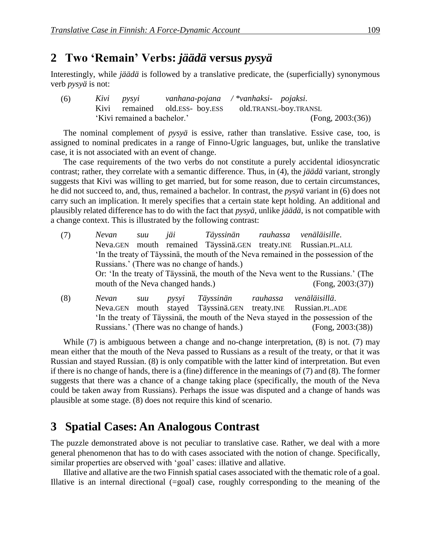### **2**xx**Two 'Remain' Verbs:** *jäädä* **versus** *pysyä*

Interestingly, while *jäädä* is followed by a translative predicate, the (superficially) synonymous verb *pysyä* is not:

| (6) | Kivi pysyi                  | vanhana-pojana /*vanhaksi- pojaksi. |                       |
|-----|-----------------------------|-------------------------------------|-----------------------|
|     |                             | Kivi remained old.ESS- boy.ESS      | old.TRANSL-boy.TRANSL |
|     | 'Kivi remained a bachelor.' |                                     | (Fong, 2003:(36))     |

The nominal complement of *pysyä* is essive, rather than translative. Essive case, too, is assigned to nominal predicates in a range of Finno-Ugric languages, but, unlike the translative case, it is not associated with an event of change.

The case requirements of the two verbs do not constitute a purely accidental idiosyncratic contrast; rather, they correlate with a semantic difference. Thus, in (4), the *jäädä* variant, strongly suggests that Kivi was willing to get married, but for some reason, due to certain circumstances, he did not succeed to, and, thus, remained a bachelor. In contrast, the *pysyä* variant in (6) does not carry such an implication. It merely specifies that a certain state kept holding. An additional and plausibly related difference has to do with the fact that *pysyä*, unlike *jäädä*, is not compatible with a change context. This is illustrated by the following contrast:

| (7) | Nevan  | suu jäi        |                                   | Täyssinän rauhassa venäläisille.           |                                                                                    |
|-----|--------|----------------|-----------------------------------|--------------------------------------------|------------------------------------------------------------------------------------|
|     |        |                |                                   |                                            | Neva.GEN mouth remained Täyssinä.GEN treaty.INE Russian.PL.ALL                     |
|     |        |                |                                   |                                            | In the treaty of Täyssinä, the mouth of the Neva remained in the possession of the |
|     |        |                |                                   | Russians.' (There was no change of hands.) |                                                                                    |
|     |        |                |                                   |                                            | Or: 'In the treaty of Täyssinä, the mouth of the Neva went to the Russians.' (The  |
|     |        |                | mouth of the Neva changed hands.) |                                            | (Fong, 2003:(37))                                                                  |
| (8) | Nevan. | - <i>SIJIJ</i> |                                   | nysyi Täyssinän rauhassa venäläisillä      |                                                                                    |

(8) *Nevan suu pysyi Täyssinän rauhassa venäläisillä*. Neva.GEN mouth stayed Täyssinä.GEN treaty.INE Russian.PL.ADE 'In the treaty of Täyssinä, the mouth of the Neva stayed in the possession of the Russians.' (There was no change of hands.) (Fong, 2003:(38))

While (7) is ambiguous between a change and no-change interpretation, (8) is not. (7) may mean either that the mouth of the Neva passed to Russians as a result of the treaty, or that it was Russian and stayed Russian. (8) is only compatible with the latter kind of interpretation. But even if there is no change of hands, there is a (fine) difference in the meanings of (7) and (8). The former suggests that there was a chance of a change taking place (specifically, the mouth of the Neva could be taken away from Russians). Perhaps the issue was disputed and a change of hands was plausible at some stage. (8) does not require this kind of scenario.

## **3**xx**Spatial Cases: An Analogous Contrast**

The puzzle demonstrated above is not peculiar to translative case. Rather, we deal with a more general phenomenon that has to do with cases associated with the notion of change. Specifically, similar properties are observed with 'goal' cases: illative and allative.

Illative and allative are the two Finnish spatial cases associated with the thematic role of a goal. Illative is an internal directional (=goal) case, roughly corresponding to the meaning of the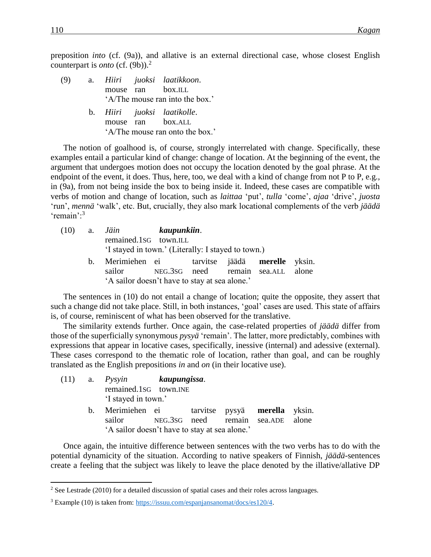preposition *into* (cf. (9a)), and allative is an external directional case, whose closest English counterpart is *onto* (cf. (9b)). 2

- (9) a. *Hiiri juoksi laatikkoon*. mouse ran box.ILL 'A/The mouse ran into the box.'
	- b. *Hiiri juoksi laatikolle*. mouse ran box.ALL 'A/The mouse ran onto the box.'

The notion of goalhood is, of course, strongly interrelated with change. Specifically, these examples entail a particular kind of change: change of location. At the beginning of the event, the argument that undergoes motion does not occupy the location denoted by the goal phrase. At the endpoint of the event, it does. Thus, here, too, we deal with a kind of change from not P to P, e.g., in (9a), from not being inside the box to being inside it. Indeed, these cases are compatible with verbs of motion and change of location, such as *laittaa* 'put', *tulla* 'come', *ajaa* 'drive', *juosta* 'run', *mennä* 'walk', etc. But, crucially, they also mark locational complements of the verb *jäädä* 'remain':<sup>3</sup>

| (10) |         | a. Jäin kaupunkiin.<br>remained.1sG town.ILL<br>'I stayed in town.' (Literally: I stayed to town.)                                       |  |  |  |
|------|---------|------------------------------------------------------------------------------------------------------------------------------------------|--|--|--|
|      | $b_{1}$ | Merimiehen ei tarvitse jäädä merelle yksin.<br>sailor NEG.3SG need remain sea.ALL alone<br>'A sailor doesn't have to stay at sea alone.' |  |  |  |

The sentences in (10) do not entail a change of location; quite the opposite, they assert that such a change did not take place. Still, in both instances, 'goal' cases are used. This state of affairs is, of course, reminiscent of what has been observed for the translative.

The similarity extends further. Once again, the case-related properties of *jäädä* differ from those of the superficially synonymous *pysyä* 'remain'. The latter, more predictably, combines with expressions that appear in locative cases, specifically, inessive (internal) and adessive (external). These cases correspond to the thematic role of location, rather than goal, and can be roughly translated as the English prepositions *in* and *on* (in their locative use).

|  | (11) a. <i>Pysyin</i> kaupungissa.             |  |  |  |  |  |  |  |
|--|------------------------------------------------|--|--|--|--|--|--|--|
|  | remained.1sG town.INE                          |  |  |  |  |  |  |  |
|  | 'I stayed in town.'                            |  |  |  |  |  |  |  |
|  | b. Merimiehen ei tarvitse pysyä merella yksin. |  |  |  |  |  |  |  |
|  | sailor NEG.3sG need remain sea.ADE alone       |  |  |  |  |  |  |  |
|  | 'A sailor doesn't have to stay at sea alone.'  |  |  |  |  |  |  |  |

Once again, the intuitive difference between sentences with the two verbs has to do with the potential dynamicity of the situation. According to native speakers of Finnish, *jäädä*-sentences create a feeling that the subject was likely to leave the place denoted by the illative/allative DP

 $\overline{\phantom{a}}$ 

 $2$  See Lestrade (2010) for a detailed discussion of spatial cases and their roles across languages.

<sup>&</sup>lt;sup>3</sup> Example (10) is taken from: [https://issuu.com/espanjansanomat/docs/es120/4.](https://issuu.com/espanjansanomat/docs/es120/4)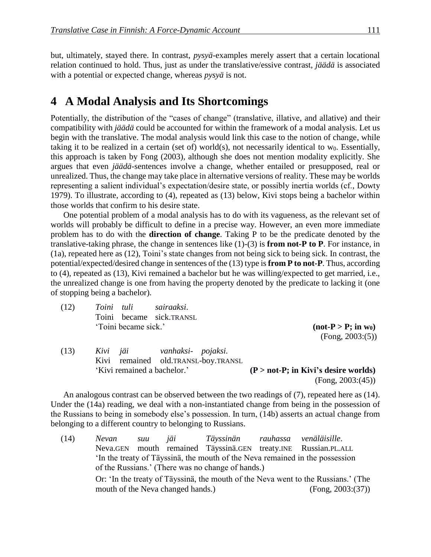but, ultimately, stayed there. In contrast, *pysyä*-examples merely assert that a certain locational relation continued to hold. Thus, just as under the translative/essive contrast, *jäädä* is associated with a potential or expected change, whereas *pysyä* is not.

### **4**xx**A Modal Analysis and Its Shortcomings**

Potentially, the distribution of the "cases of change" (translative, illative, and allative) and their compatibility with *jäädä* could be accounted for within the framework of a modal analysis. Let us begin with the translative. The modal analysis would link this case to the notion of change, while taking it to be realized in a certain (set of) world(s), not necessarily identical to  $w_0$ . Essentially, this approach is taken by Fong (2003), although she does not mention modality explicitly. She argues that even *jäädä*-sentences involve a change, whether entailed or presupposed, real or unrealized. Thus, the change may take place in alternative versions of reality. These may be worlds representing a salient individual's expectation/desire state, or possibly inertia worlds (cf., Dowty 1979). To illustrate, according to (4), repeated as (13) below, Kivi stops being a bachelor within those worlds that confirm to his desire state.

One potential problem of a modal analysis has to do with its vagueness, as the relevant set of worlds will probably be difficult to define in a precise way. However, an even more immediate problem has to do with the **direction of change**. Taking P to be the predicate denoted by the translative-taking phrase, the change in sentences like (1)-(3) is **from not-P to P**. For instance, in (1a), repeated here as (12), Toini's state changes from not being sick to being sick. In contrast, the potential/expected/desired change in sentences of the (13) type is **from P to not-P**. Thus, according to (4), repeated as (13), Kivi remained a bachelor but he was willing/expected to get married, i.e., the unrealized change is one from having the property denoted by the predicate to lacking it (one of stopping being a bachelor).

(12) *Toini tuli sairaaksi*. Toini became sick.TRANSL 'Toini became sick.' **(not-P > P; in w0)**

(Fong, 2003:(5))

(13) *Kivi jäi vanhaksi- pojaksi.* Kivi remained old.TRANSL-boy.TRANSL 'Kivi remained a bachelor.' **(P > not-P; in Kivi's desire worlds)** (Fong, 2003:(45))

An analogous contrast can be observed between the two readings of (7), repeated here as (14). Under the (14a) reading, we deal with a non-instantiated change from being in the possession of the Russians to being in somebody else's possession. In turn, (14b) asserts an actual change from belonging to a different country to belonging to Russians.

(14) *Nevan suu jäi Täyssinän rauhassa venäläisille*. Neva.GEN mouth remained Täyssinä.GEN treaty.INE Russian.PL.ALL 'In the treaty of Täyssinä, the mouth of the Neva remained in the possession of the Russians.' (There was no change of hands.) Or: 'In the treaty of Täyssinä, the mouth of the Neva went to the Russians.' (The mouth of the Neva changed hands.) (Fong, 2003:(37))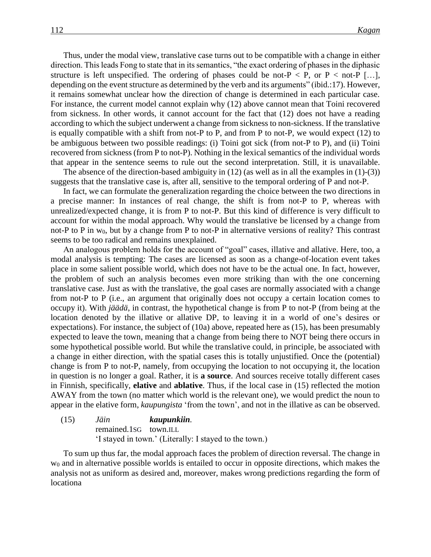Thus, under the modal view, translative case turns out to be compatible with a change in either direction. This leads Fong to state that in its semantics, "the exact ordering of phases in the diphasic structure is left unspecified. The ordering of phases could be not- $P < P$ , or  $P <$  not- $P$  [...], depending on the event structure as determined by the verb and its arguments" (ibid.:17). However, it remains somewhat unclear how the direction of change is determined in each particular case. For instance, the current model cannot explain why (12) above cannot mean that Toini recovered from sickness. In other words, it cannot account for the fact that (12) does not have a reading according to which the subject underwent a change from sickness to non-sickness. If the translative is equally compatible with a shift from not-P to P, and from P to not-P, we would expect (12) to be ambiguous between two possible readings: (i) Toini got sick (from not-P to P), and (ii) Toini recovered from sickness (from P to not-P). Nothing in the lexical semantics of the individual words that appear in the sentence seems to rule out the second interpretation. Still, it is unavailable.

The absence of the direction-based ambiguity in  $(12)$  (as well as in all the examples in  $(1)-(3)$ ) suggests that the translative case is, after all, sensitive to the temporal ordering of P and not-P.

In fact, we can formulate the generalization regarding the choice between the two directions in a precise manner: In instances of real change, the shift is from not-P to P, whereas with unrealized/expected change, it is from P to not-P. But this kind of difference is very difficult to account for within the modal approach. Why would the translative be licensed by a change from not-P to P in  $w_0$ , but by a change from P to not-P in alternative versions of reality? This contrast seems to be too radical and remains unexplained.

An analogous problem holds for the account of "goal" cases, illative and allative. Here, too, a modal analysis is tempting: The cases are licensed as soon as a change-of-location event takes place in some salient possible world, which does not have to be the actual one. In fact, however, the problem of such an analysis becomes even more striking than with the one concerning translative case. Just as with the translative, the goal cases are normally associated with a change from not-P to P (i.e., an argument that originally does not occupy a certain location comes to occupy it). With *jäädä*, in contrast, the hypothetical change is from P to not-P (from being at the location denoted by the illative or allative DP, to leaving it in a world of one's desires or expectations). For instance, the subject of (10a) above, repeated here as (15), has been presumably expected to leave the town, meaning that a change from being there to NOT being there occurs in some hypothetical possible world. But while the translative could, in principle, be associated with a change in either direction, with the spatial cases this is totally unjustified. Once the (potential) change is from P to not-P, namely, from occupying the location to not occupying it, the location in question is no longer a goal. Rather, it is **a source**. And sources receive totally different cases in Finnish, specifically, **elative** and **ablative**. Thus, if the local case in (15) reflected the motion AWAY from the town (no matter which world is the relevant one), we would predict the noun to appear in the elative form, *kaupungista* 'from the town', and not in the illative as can be observed.

(15) *Jäin kaupunkiin.* remained.1SG town.ILL 'I stayed in town.' (Literally: I stayed to the town.)

To sum up thus far, the modal approach faces the problem of direction reversal. The change in w<sup>0</sup> and in alternative possible worlds is entailed to occur in opposite directions, which makes the analysis not as uniform as desired and, moreover, makes wrong predictions regarding the form of locationa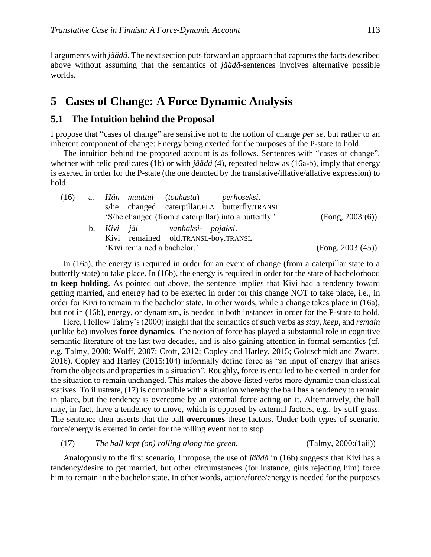l arguments with *jäädä*. The next section puts forward an approach that captures the facts described above without assuming that the semantics of *jäädä*-sentences involves alternative possible worlds.

## **5** Cases of Change: A Force Dynamic Analysis

#### **5.1 The Intuition behind the Proposal**

I propose that "cases of change" are sensitive not to the notion of change *per se*, but rather to an inherent component of change: Energy being exerted for the purposes of the P-state to hold.

The intuition behind the proposed account is as follows. Sentences with "cases of change", whether with telic predicates (1b) or with *jäädä* (4), repeated below as (16a-b), imply that energy is exerted in order for the P-state (the one denoted by the translative/illative/allative expression) to hold.

| (16) | a. Hän muuttui (toukasta) perhoseksi.                 |                   |
|------|-------------------------------------------------------|-------------------|
|      | s/he changed caterpillar.ELA butterfly.TRANSL         |                   |
|      | 'S/he changed (from a caterpillar) into a butterfly.' | (Fong, 2003:(6))  |
|      | b. Kivi jäi vanhaksi- pojaksi.                        |                   |
|      | Kivi remained old.TRANSL-boy.TRANSL                   |                   |
|      | 'Kivi remained a bachelor.'                           | (Fong, 2003:(45)) |

In (16a), the energy is required in order for an event of change (from a caterpillar state to a butterfly state) to take place. In (16b), the energy is required in order for the state of bachelorhood **to keep holding**. As pointed out above, the sentence implies that Kivi had a tendency toward getting married, and energy had to be exerted in order for this change NOT to take place, i.e., in order for Kivi to remain in the bachelor state. In other words, while a change takes place in (16a), but not in (16b), energy, or dynamism, is needed in both instances in order for the P-state to hold.

Here, I follow Talmy's (2000) insight that the semantics of such verbs as *stay*, *keep*, and *remain* (unlike *be*) involves **force dynamics**. The notion of force has played a substantial role in cognitive semantic literature of the last two decades, and is also gaining attention in formal semantics (cf. e.g. Talmy, 2000; Wolff, 2007; Croft, 2012; Copley and Harley, 2015; Goldschmidt and Zwarts, 2016). Copley and Harley (2015:104) informally define force as "an input of energy that arises from the objects and properties in a situation". Roughly, force is entailed to be exerted in order for the situation to remain unchanged. This makes the above-listed verbs more dynamic than classical statives. To illustrate, (17) is compatible with a situation whereby the ball has a tendency to remain in place, but the tendency is overcome by an external force acting on it. Alternatively, the ball may, in fact, have a tendency to move, which is opposed by external factors, e.g., by stiff grass. The sentence then asserts that the ball **overcomes** these factors. Under both types of scenario, force/energy is exerted in order for the rolling event not to stop.

(17) *The ball kept (on) rolling along the green.* (Talmy, 2000:(1aii))

Analogously to the first scenario, I propose, the use of *jäädä* in (16b) suggests that Kivi has a tendency/desire to get married, but other circumstances (for instance, girls rejecting him) force him to remain in the bachelor state. In other words, action/force/energy is needed for the purposes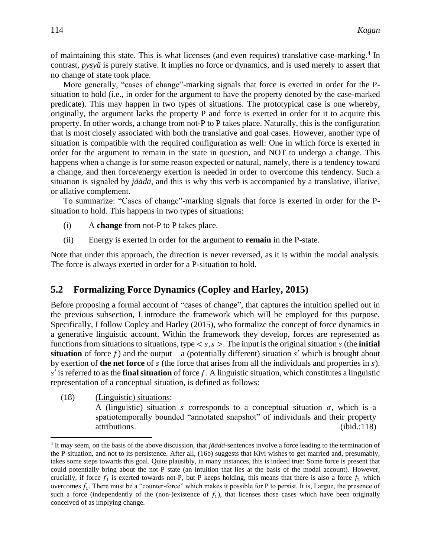of maintaining this state. This is what licenses (and even requires) translative case-marking.<sup>4</sup> In contrast, *pysyä* is purely stative. It implies no force or dynamics, and is used merely to assert that no change of state took place.

More generally, "cases of change"-marking signals that force is exerted in order for the Psituation to hold (i.e., in order for the argument to have the property denoted by the case-marked predicate). This may happen in two types of situations. The prototypical case is one whereby, originally, the argument lacks the property P and force is exerted in order for it to acquire this property. In other words, a change from not-P to P takes place. Naturally, this is the configuration that is most closely associated with both the translative and goal cases. However, another type of situation is compatible with the required configuration as well: One in which force is exerted in order for the argument to remain in the state in question, and NOT to undergo a change. This happens when a change is for some reason expected or natural, namely, there is a tendency toward a change, and then force/energy exertion is needed in order to overcome this tendency. Such a situation is signaled by *jäädä*, and this is why this verb is accompanied by a translative, illative, or allative complement.

To summarize: "Cases of change"-marking signals that force is exerted in order for the Psituation to hold. This happens in two types of situations:

- (i) A **change** from not-P to P takes place.
- (ii) Energy is exerted in order for the argument to **remain** in the P-state.

Note that under this approach, the direction is never reversed, as it is within the modal analysis. The force is always exerted in order for a P-situation to hold.

#### **5.2** Formalizing Force Dynamics (Copley and Harley, 2015)

Before proposing a formal account of "cases of change", that captures the intuition spelled out in the previous subsection, I introduce the framework which will be employed for this purpose. Specifically, I follow Copley and Harley (2015), who formalize the concept of force dynamics in a generative linguistic account. Within the framework they develop, forces are represented as functions from situations to situations, type  $\lt s$ ,  $s$   $>$ . The input is the original situation  $s$  (the **initial situation** of force f) and the output – a (potentially different) situation s' which is brought about by exertion of **the net force** of *s* (the force that arises from all the individuals and properties in *s*).  $s'$  is referred to as the **final situation** of force  $f$ . A linguistic situation, which constitutes a linguistic representation of a conceptual situation, is defined as follows:

(18) (Linguistic) situations:

l

A (linguistic) situation s corresponds to a conceptual situation  $\sigma$ , which is a spatiotemporally bounded "annotated snapshot" of individuals and their property attributions. (ibid.:118)

<sup>4</sup> It may seem, on the basis of the above discussion, that *jäädä*-sentences involve a force leading to the termination of the P-situation, and not to its persistence. After all, (16b) suggests that Kivi wishes to get married and, presumably, takes some steps towards this goal. Quite plausibly, in many instances, this is indeed true: Some force is present that could potentially bring about the not-P state (an intuition that lies at the basis of the modal account). However, crucially, if force  $f_1$  is exerted towards not-P, but P keeps holding, this means that there is also a force  $f_2$  which overcomes  $f_1$ . There must be a "counter-force" which makes it possible for P to persist. It is, I argue, the presence of such a force (independently of the (non-)existence of  $f_1$ ), that licenses those cases which have been originally conceived of as implying change.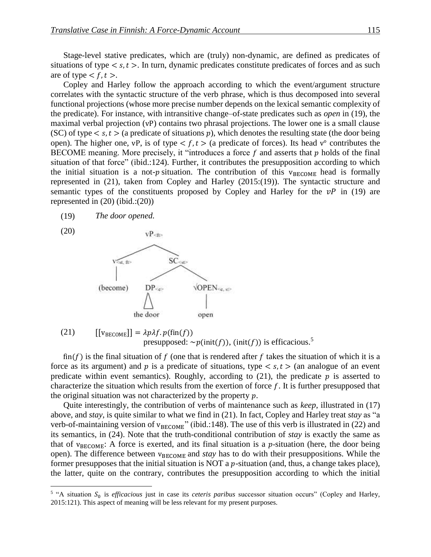Stage-level stative predicates, which are (truly) non-dynamic, are defined as predicates of situations of type  $\langle s, t \rangle$ . In turn, dynamic predicates constitute predicates of forces and as such are of type  $\lt f, t >$ .

Copley and Harley follow the approach according to which the event/argument structure correlates with the syntactic structure of the verb phrase, which is thus decomposed into several functional projections (whose more precise number depends on the lexical semantic complexity of the predicate). For instance, with intransitive change–of-state predicates such as *open* in (19), the maximal verbal projection (vP) contains two phrasal projections. The lower one is a small clause (SC) of type  $\langle s, t \rangle$  (a predicate of situations p), which denotes the resulting state (the door being open). The higher one, vP, is of type  $\lt f$ ,  $t >$  (a predicate of forces). Its head v° contributes the BECOME meaning. More precisely, it "introduces a force  $f$  and asserts that  $p$  holds of the final situation of that force" (ibid.:124). Further, it contributes the presupposition according to which the initial situation is a not-p situation. The contribution of this  $v_{BECOME}$  head is formally represented in (21), taken from Copley and Harley (2015:(19)). The syntactic structure and semantic types of the constituents proposed by Copley and Harley for the  $vP$  in (19) are represented in (20) (ibid.:(20))



(20)



(21) 
$$
[[v_{\text{BECOME}}]] = \lambda p \lambda f. p(\text{fin}(f))
$$
  
presupposed:  $\sim p(\text{init}(f))$ , (init(f)) is efficacious.<sup>5</sup>

fin(f) is the final situation of f (one that is rendered after f takes the situation of which it is a force as its argument) and p is a predicate of situations, type  $\langle s, t \rangle$  (an analogue of an event predicate within event semantics). Roughly, according to  $(21)$ , the predicate p is asserted to characterize the situation which results from the exertion of force  $f$ . It is further presupposed that the original situation was not characterized by the property  $p$ .

Quite interestingly, the contribution of verbs of maintenance such as *keep*, illustrated in (17) above, and *stay*, is quite similar to what we find in (21). In fact, Copley and Harley treat *stay* as "a verb-of-maintaining version of  $v_{BECOME}$ " (ibid.:148). The use of this verb is illustrated in (22) and its semantics, in (24). Note that the truth-conditional contribution of *stay* is exactly the same as that of  $v_{\text{BECOME}}$ : A force is exerted, and its final situation is a p-situation (here, the door being open). The difference between  $v_{BECOME}$  and *stay* has to do with their presuppositions. While the former presupposes that the initial situation is NOT a  $p$ -situation (and, thus, a change takes place), the latter, quite on the contrary, contributes the presupposition according to which the initial

<sup>&</sup>lt;sup>5</sup> "A situation S<sub>0</sub> is *efficacious* just in case its *ceteris paribus* successor situation occurs" (Copley and Harley, 2015:121). This aspect of meaning will be less relevant for my present purposes.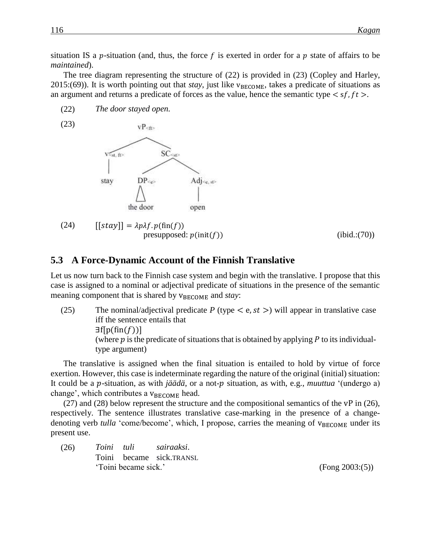situation IS a p-situation (and, thus, the force f is exerted in order for a p state of affairs to be *maintained*).

The tree diagram representing the structure of (22) is provided in (23) (Copley and Harley,  $2015$ :(69)). It is worth pointing out that *stay*, just like  $v_{\text{BECOME}}$ , takes a predicate of situations as an argument and returns a predicate of forces as the value, hence the semantic type  $\langle s f, f t \rangle$ .

- (22) *The door stayed open.*
- (23)



(24)  $[|stay|] = \lambda p\lambda f. p(\text{fin}(f))$ presupposed:  $p(\text{init}(f))$  (ibid.:(70))

#### **5.3** A Force-Dynamic Account of the Finnish Translative

Let us now turn back to the Finnish case system and begin with the translative. I propose that this case is assigned to a nominal or adjectival predicate of situations in the presence of the semantic meaning component that is shared by  $v_{BECOME}$  and *stay*:

(25) The nominal/adjectival predicate  $P$  (type  $\lt e, st \gt)$  will appear in translative case iff the sentence entails that  $\exists f[p(\text{fin}(f))]$ (where  $\dot{p}$  is the predicate of situations that is obtained by applying  $\dot{p}$  to its individualtype argument)

The translative is assigned when the final situation is entailed to hold by virtue of force exertion. However, this case is indeterminate regarding the nature of the original (initial) situation: It could be a p-situation, as with *jäädä*, or a not-p situation, as with, e.g., *muuttua* '(undergo a) change', which contributes a  $v_{\text{BECOME}}$  head.

(27) and (28) below represent the structure and the compositional semantics of the vP in (26), respectively. The sentence illustrates translative case-marking in the presence of a changedenoting verb *tulla* 'come/become', which, I propose, carries the meaning of  $v_{BECOME}$  under its present use.

(26) *Toini tuli sairaaksi*. Toini became sick.TRANSL 'Toini became sick.' (Fong 2003:(5))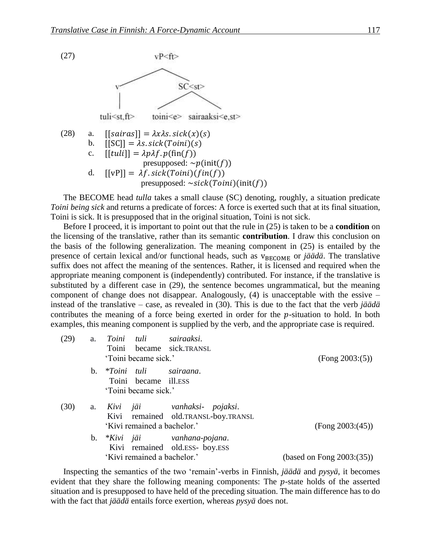

The BECOME head *tulla* takes a small clause (SC) denoting, roughly, a situation predicate *Toini being sick* and returns a predicate of forces: A force is exerted such that at its final situation, Toini is sick. It is presupposed that in the original situation, Toini is not sick.

Before I proceed, it is important to point out that the rule in (25) is taken to be a **condition** on the licensing of the translative, rather than its semantic **contribution**. I draw this conclusion on the basis of the following generalization. The meaning component in (25) is entailed by the presence of certain lexical and/or functional heads, such as  $v_{BECOME}$  or *jäädä*. The translative suffix does not affect the meaning of the sentences. Rather, it is licensed and required when the appropriate meaning component is (independently) contributed. For instance, if the translative is substituted by a different case in (29), the sentence becomes ungrammatical, but the meaning component of change does not disappear. Analogously, (4) is unacceptable with the essive – instead of the translative – case, as revealed in (30). This is due to the fact that the verb *jäädä* contributes the meaning of a force being exerted in order for the  $p$ -situation to hold. In both examples, this meaning component is supplied by the verb, and the appropriate case is required.

| (29) | a.             | Toini tuli sairaaksi.<br>Toini became sick.TRANSL                     |                                                                      |                           |
|------|----------------|-----------------------------------------------------------------------|----------------------------------------------------------------------|---------------------------|
|      |                | 'Toini became sick.'                                                  |                                                                      | (Fong 2003:(5))           |
|      | $\mathbf{b}$ . | *Toini tuli sairaana.<br>Toini became ill.ESS<br>'Toini became sick.' |                                                                      |                           |
| (30) | a.             | 'Kivi remained a bachelor.'                                           | Kivi jäi   vanhaksi- pojaksi.<br>Kivi remained old.TRANSL-boy.TRANSL | (Fong 2003:(45))          |
|      | b.             | 'Kivi remained a bachelor.'                                           | *Kivi jäi vanhana-pojana.<br>Kivi remained old.ESS- boy.ESS          | (based on Fong 2003:(35)) |

Inspecting the semantics of the two 'remain'-verbs in Finnish, *jäädä* and *pysyä*, it becomes evident that they share the following meaning components: The  $p$ -state holds of the asserted situation and is presupposed to have held of the preceding situation. The main difference has to do with the fact that *jäädä* entails force exertion, whereas *pysyä* does not.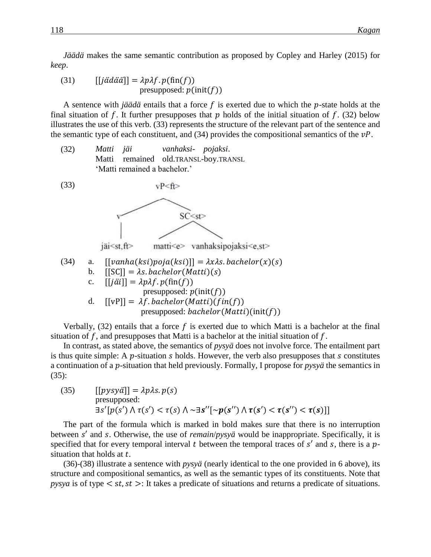*Jäädä* makes the same semantic contribution as proposed by Copley and Harley (2015) for *keep*.

(31) 
$$
[[j\ddot{a}\ddot{a}\ddot{a}]] = \lambda p\lambda f. p(\text{fin}(f))
$$
  
presupposed:  $p(\text{init}(f))$ 

A sentence with *jäädä* entails that a force  $f$  is exerted due to which the  $p$ -state holds at the final situation of f. It further presupposes that  $p$  holds of the initial situation of  $f$ . (32) below illustrates the use of this verb. (33) represents the structure of the relevant part of the sentence and the semantic type of each constituent, and  $(34)$  provides the compositional semantics of the  $vP$ .

(32) *Matti jäi vanhaksi- pojaksi*. Matti remained old.TRANSL-boy.TRANSL 'Matti remained a bachelor.'



Verbally,  $(32)$  entails that a force f is exerted due to which Matti is a bachelor at the final situation of  $f$ , and presupposes that Matti is a bachelor at the initial situation of  $f$ .

In contrast, as stated above, the semantics of *pysyä* does not involve force. The entailment part is thus quite simple: A  $p$ -situation  $s$  holds. However, the verb also presupposes that  $s$  constitutes a continuation of a *p*-situation that held previously. Formally, I propose for *pysyä* the semantics in (35):

(35)  $[[pysy\ddot{a}]] = \lambda p\lambda s. p(s)$ presupposed:  $\exists s'[p(s') \land \tau(s') < \tau(s) \land \neg \exists s''[\sim p(s'') \land \tau(s') < \tau(s'') < \tau(s)]]$ 

The part of the formula which is marked in bold makes sure that there is no interruption between s' and s. Otherwise, the use of *remain/pysyä* would be inappropriate. Specifically, it is specified that for every temporal interval t between the temporal traces of  $s'$  and  $s$ , there is a  $p$ situation that holds at  $t$ .

(36)-(38) illustrate a sentence with *pysyä* (nearly identical to the one provided in 6 above), its structure and compositional semantics, as well as the semantic types of its constituents. Note that *pysya* is of type  $\lt$  st, st  $\gt$ : It takes a predicate of situations and returns a predicate of situations.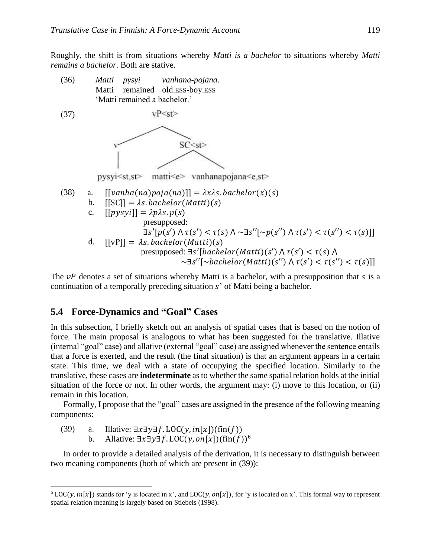Roughly, the shift is from situations whereby *Matti is a bachelor* to situations whereby *Matti remains a bachelor*. Both are stative.



The  $vP$  denotes a set of situations whereby Matti is a bachelor, with a presupposition that  $s$  is a continuation of a temporally preceding situation  $s'$  of Matti being a bachelor.

#### **5.4**xx**Force-Dynamics and "Goal" Cases**

In this subsection, I briefly sketch out an analysis of spatial cases that is based on the notion of force. The main proposal is analogous to what has been suggested for the translative. Illative (internal "goal" case) and allative (external "goal" case) are assigned whenever the sentence entails that a force is exerted, and the result (the final situation) is that an argument appears in a certain state. This time, we deal with a state of occupying the specified location. Similarly to the translative, these cases are **indeterminate** as to whether the same spatial relation holds at the initial situation of the force or not. In other words, the argument may: (i) move to this location, or (ii) remain in this location.

Formally, I propose that the "goal" cases are assigned in the presence of the following meaning components:

(39) a. Illative:  $\exists x \exists y \exists f$ . LOC(y,  $in[x]$ )(fin(f))

 $\overline{a}$ 

b. Allative:  $\exists x \exists y \exists f$ . LOC(y, on[x])(fin(f))<sup>6</sup>

In order to provide a detailed analysis of the derivation, it is necessary to distinguish between two meaning components (both of which are present in (39)):

 $6$  LOC(y,  $in[x]$ ) stands for 'y is located in x', and LOC(y, on[x]), for 'y is located on x'. This formal way to represent spatial relation meaning is largely based on Stiebels (1998).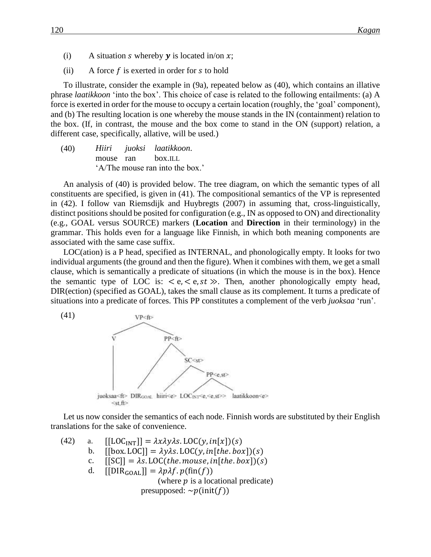- (i) A situation *s* whereby **y** is located in/on  $x$ ;
- (ii) A force  $f$  is exerted in order for  $s$  to hold

To illustrate, consider the example in (9a), repeated below as (40), which contains an illative phrase *laatikkoon* 'into the box'. This choice of case is related to the following entailments: (a) A force is exerted in order for the mouse to occupy a certain location (roughly, the 'goal' component), and (b) The resulting location is one whereby the mouse stands in the IN (containment) relation to the box. (If, in contrast, the mouse and the box come to stand in the ON (support) relation, a different case, specifically, allative, will be used.)

(40) *Hiiri juoksi laatikkoon*. mouse ran box.ILL 'A/The mouse ran into the box.'

An analysis of (40) is provided below. The tree diagram, on which the semantic types of all constituents are specified, is given in (41). The compositional semantics of the VP is represented in (42). I follow van Riemsdijk and Huybregts (2007) in assuming that, cross-linguistically, distinct positions should be posited for configuration (e.g., IN as opposed to ON) and directionality (e.g., GOAL versus SOURCE) markers (**Location** and **Direction** in their terminology) in the grammar. This holds even for a language like Finnish, in which both meaning components are associated with the same case suffix.

LOC(ation) is a P head, specified as INTERNAL, and phonologically empty. It looks for two individual arguments (the ground and then the figure). When it combines with them, we get a small clause, which is semantically a predicate of situations (in which the mouse is in the box). Hence the semantic type of LOC is:  $\langle e, \langle e, st \rangle$ . Then, another phonologically empty head, DIR(ection) (specified as GOAL), takes the small clause as its complement. It turns a predicate of situations into a predicate of forces. This PP constitutes a complement of the verb *juoksaa* 'run'.



Let us now consider the semantics of each node. Finnish words are substituted by their English translations for the sake of convenience.

(42) a.  $[[LOC_{INT}]] = \lambda x \lambda y \lambda s. LOC(y, in[x])(s)$ b.  $[[box, LOC]] = \lambda y \lambda s. LOC(y, in[the, box])(s)$ c.  $[[SC]] = \lambda s. \text{LOC}(the \text{. mouse, in} [the \text{. box}]) (s)$ d.  $[DR_{GOAL}] = \lambda p \lambda f. p(\text{fin}(f))$ (where  $p$  is a locational predicate) presupposed:  $\neg p(\text{init}(f))$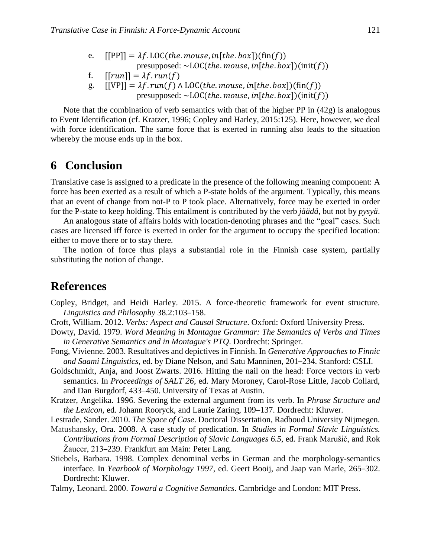- e.  $[PP]] = \lambda f$ . LOC(the. mouse, in[the. box])(fin(f)) presupposed:  $\sim$ LOC(the. mouse, in[the. box])(init(f))
- f.  $[[run]] = \lambda f.run(f)$
- g.  $[[VP]] = \lambda f. run(f) \wedge LOC(the. mouse, in[the. box])(fin(f))$ presupposed:  $\sim$ LOC(*the mouse, in*[*the .box*])(init(*f*))
- 

Note that the combination of verb semantics with that of the higher PP in (42g) is analogous to Event Identification (cf. Kratzer, 1996; Copley and Harley, 2015:125). Here, however, we deal with force identification. The same force that is exerted in running also leads to the situation whereby the mouse ends up in the box.

### **6** Conclusion

Translative case is assigned to a predicate in the presence of the following meaning component: A force has been exerted as a result of which a P-state holds of the argument. Typically, this means that an event of change from not-P to P took place. Alternatively, force may be exerted in order for the P-state to keep holding. This entailment is contributed by the verb *jäädä*, but not by *pysyä*.

An analogous state of affairs holds with location-denoting phrases and the "goal" cases. Such cases are licensed iff force is exerted in order for the argument to occupy the specified location: either to move there or to stay there.

The notion of force thus plays a substantial role in the Finnish case system, partially substituting the notion of change.

### **References**

- Copley, Bridget, and Heidi Harley. 2015. A force-theoretic framework for event structure. *Linguistics and Philosophy* 38.2:103–158.
- Croft, William. 2012. *Verbs: Aspect and Causal Structure*. Oxford: Oxford University Press.
- Dowty, David. 1979. *Word Meaning in Montague Grammar: The Semantics of Verbs and Times in Generative Semantics and in Montague's PTQ*. Dordrecht: Springer.
- Fong, Vivienne. 2003. Resultatives and depictives in Finnish. In *Generative Approaches to Finnic and Saami Linguistics*, ed. by Diane Nelson, and Satu Manninen, 201–234. Stanford: CSLI.
- Goldschmidt, Anja, and Joost Zwarts. 2016. Hitting the nail on the head: Force vectors in verb semantics. In *Proceedings of SALT 26*, ed. Mary Moroney, Carol-Rose Little, Jacob Collard, and Dan Burgdorf, 433–450. University of Texas at Austin.
- Kratzer, Angelika. 1996. Severing the external argument from its verb. In *Phrase Structure and the Lexicon*, ed. Johann Rooryck, and Laurie Zaring, 109–137. Dordrecht: Kluwer.
- Lestrade, Sander. 2010. *The Space of Case*. Doctoral Dissertation, Radboud University Nijmegen.
- Matushansky, Ora. 2008. A case study of predication. In *Studies in Formal Slavic Linguistics. Contributions from Formal Description of Slavic Languages 6.5*, ed. Frank Marušič, and Rok Žaucer, 213–239. Frankfurt am Main: Peter Lang.
- Stiebels, Barbara. 1998. Complex denominal verbs in German and the morphology-semantics interface. In *Yearbook of Morphology 1997*, ed. Geert Booij, and Jaap van Marle, 265–302. Dordrecht: Kluwer.

Talmy, Leonard. 2000. *Toward a Cognitive Semantics*. Cambridge and London: MIT Press.